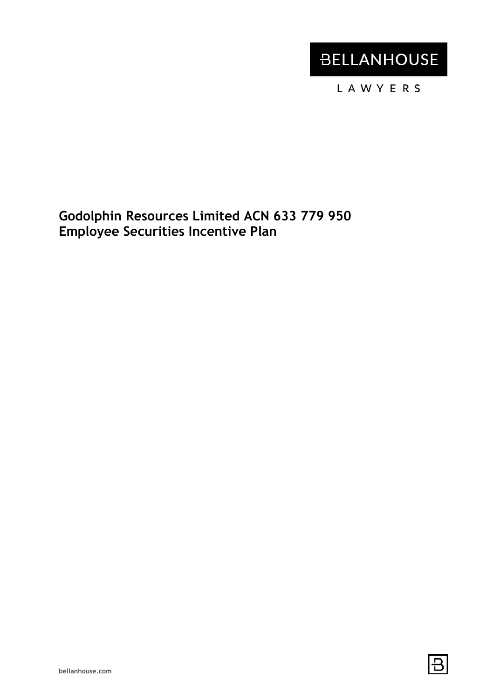# **BELLANHOUSE**

LAWYERS

**Godolphin Resources Limited ACN 633 779 950 Employee Securities Incentive Plan**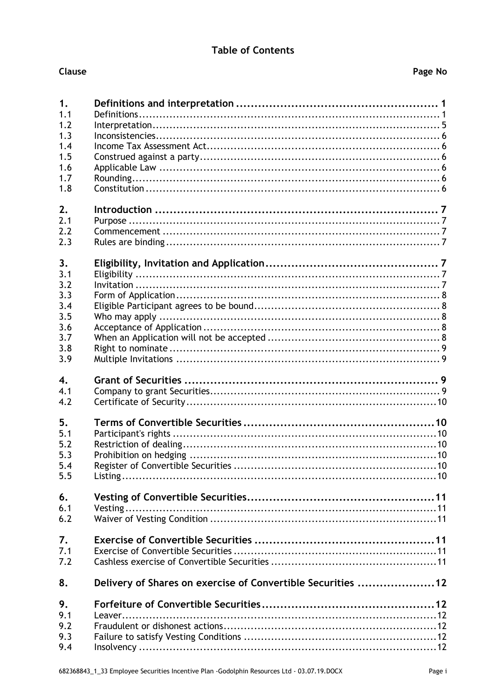### **Table of Contents**

### Clause

| 1.               |                                                             |
|------------------|-------------------------------------------------------------|
| 1.1              |                                                             |
| 1.2              |                                                             |
| 1.3              |                                                             |
| 1.4              |                                                             |
| 1.5              |                                                             |
| 1.6              |                                                             |
| 1.7              |                                                             |
| 1.8              |                                                             |
| 2.               |                                                             |
| 2.1              |                                                             |
| 2.2              |                                                             |
| 2.3              |                                                             |
| 3.               |                                                             |
| 3.1              |                                                             |
| 3.2              |                                                             |
| 3.3              |                                                             |
| 3.4              |                                                             |
| 3.5              |                                                             |
| 3.6              |                                                             |
| 3.7              |                                                             |
| 3.8              |                                                             |
| 3.9              |                                                             |
| $\overline{4}$ . |                                                             |
| 4.1              |                                                             |
| 4.2              |                                                             |
| 5.               |                                                             |
| 5.1              |                                                             |
| 5.2              |                                                             |
| 5.3              |                                                             |
| 5.4              |                                                             |
| 5.5              |                                                             |
| 6.               |                                                             |
| 6.1              |                                                             |
| 6.2              |                                                             |
| 7.               |                                                             |
| 7.1              |                                                             |
| 7.2              |                                                             |
| 8.               | Delivery of Shares on exercise of Convertible Securities 12 |
| 9.               |                                                             |
| 9.1              |                                                             |
| 9.2              |                                                             |
| 9.3              |                                                             |
| 9.4              |                                                             |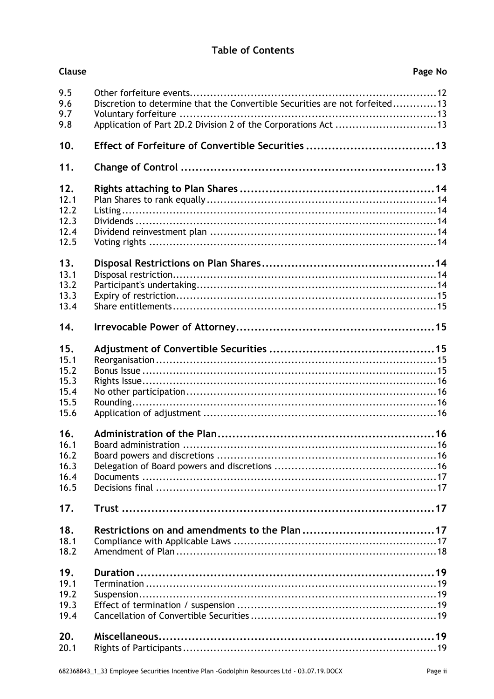### **Table of Contents**

| Clause                                              | Page No                                                                                                                                       |    |
|-----------------------------------------------------|-----------------------------------------------------------------------------------------------------------------------------------------------|----|
| 9.5<br>9.6<br>9.7<br>9.8                            | Discretion to determine that the Convertible Securities are not forfeited13<br>Application of Part 2D.2 Division 2 of the Corporations Act 13 |    |
| 10.                                                 | Effect of Forfeiture of Convertible Securities 13                                                                                             |    |
| 11.                                                 |                                                                                                                                               |    |
| 12.<br>12.1<br>12.2<br>12.3<br>12.4<br>12.5         |                                                                                                                                               |    |
| 13.<br>13.1<br>13.2<br>13.3<br>13.4                 |                                                                                                                                               |    |
| 14.                                                 |                                                                                                                                               |    |
| 15.<br>15.1<br>15.2<br>15.3<br>15.4<br>15.5<br>15.6 |                                                                                                                                               |    |
| 16<br>16.1<br>16.2<br>16.3<br>16.4<br>16.5          | Administration of the Plan.                                                                                                                   | 16 |
| 17.                                                 |                                                                                                                                               |    |
| 18.<br>18.1<br>18.2                                 |                                                                                                                                               |    |
| 19.<br>19.1<br>19.2<br>19.3<br>19.4                 |                                                                                                                                               |    |
| 20.<br>20.1                                         |                                                                                                                                               |    |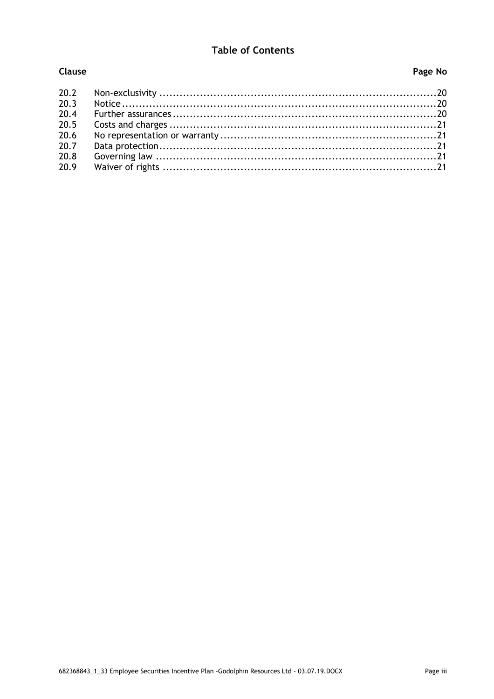### **Table of Contents**

Clause

### Page No

| 20.2 |  |
|------|--|
| 20.3 |  |
| 20.4 |  |
| 20.5 |  |
| 20.6 |  |
| 20.7 |  |
| 20.8 |  |
| 20.9 |  |
|      |  |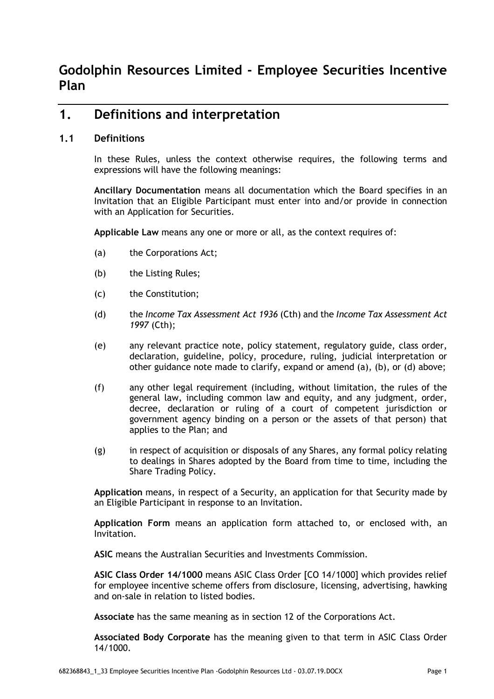### **1. Definitions and interpretation**

### **1.1 Definitions**

In these Rules, unless the context otherwise requires, the following terms and expressions will have the following meanings:

**Ancillary Documentation** means all documentation which the Board specifies in an Invitation that an Eligible Participant must enter into and/or provide in connection with an Application for Securities.

**Applicable Law** means any one or more or all, as the context requires of:

- (a) the Corporations Act;
- (b) the Listing Rules;
- (c) the Constitution;
- (d) the *Income Tax Assessment Act 1936* (Cth) and the *Income Tax Assessment Act 1997* (Cth);
- (e) any relevant practice note, policy statement, regulatory guide, class order, declaration, guideline, policy, procedure, ruling, judicial interpretation or other guidance note made to clarify, expand or amend (a), (b), or (d) above;
- (f) any other legal requirement (including, without limitation, the rules of the general law, including common law and equity, and any judgment, order, decree, declaration or ruling of a court of competent jurisdiction or government agency binding on a person or the assets of that person) that applies to the Plan; and
- (g) in respect of acquisition or disposals of any Shares, any formal policy relating to dealings in Shares adopted by the Board from time to time, including the Share Trading Policy.

**Application** means, in respect of a Security, an application for that Security made by an Eligible Participant in response to an Invitation.

**Application Form** means an application form attached to, or enclosed with, an Invitation.

**ASIC** means the Australian Securities and Investments Commission.

**ASIC Class Order 14/1000** means ASIC Class Order [CO 14/1000] which provides relief for employee incentive scheme offers from disclosure, licensing, advertising, hawking and on-sale in relation to listed bodies.

**Associate** has the same meaning as in section 12 of the Corporations Act.

**Associated Body Corporate** has the meaning given to that term in ASIC Class Order 14/1000.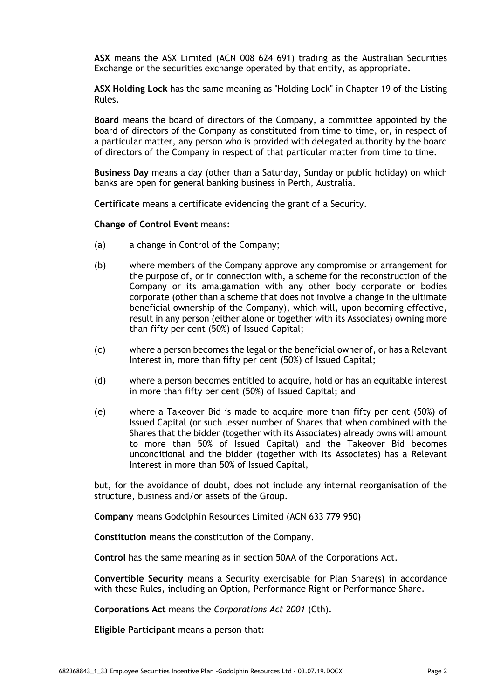**ASX** means the ASX Limited (ACN 008 624 691) trading as the Australian Securities Exchange or the securities exchange operated by that entity, as appropriate.

**ASX Holding Lock** has the same meaning as "Holding Lock" in Chapter 19 of the Listing Rules.

**Board** means the board of directors of the Company, a committee appointed by the board of directors of the Company as constituted from time to time, or, in respect of a particular matter, any person who is provided with delegated authority by the board of directors of the Company in respect of that particular matter from time to time.

**Business Day** means a day (other than a Saturday, Sunday or public holiday) on which banks are open for general banking business in Perth, Australia.

**Certificate** means a certificate evidencing the grant of a Security.

**Change of Control Event** means:

- (a) a change in Control of the Company;
- (b) where members of the Company approve any compromise or arrangement for the purpose of, or in connection with, a scheme for the reconstruction of the Company or its amalgamation with any other body corporate or bodies corporate (other than a scheme that does not involve a change in the ultimate beneficial ownership of the Company), which will, upon becoming effective, result in any person (either alone or together with its Associates) owning more than fifty per cent (50%) of Issued Capital;
- (c) where a person becomes the legal or the beneficial owner of, or has a Relevant Interest in, more than fifty per cent (50%) of Issued Capital;
- (d) where a person becomes entitled to acquire, hold or has an equitable interest in more than fifty per cent (50%) of Issued Capital; and
- (e) where a Takeover Bid is made to acquire more than fifty per cent (50%) of Issued Capital (or such lesser number of Shares that when combined with the Shares that the bidder (together with its Associates) already owns will amount to more than 50% of Issued Capital) and the Takeover Bid becomes unconditional and the bidder (together with its Associates) has a Relevant Interest in more than 50% of Issued Capital,

but, for the avoidance of doubt, does not include any internal reorganisation of the structure, business and/or assets of the Group.

**Company** means Godolphin Resources Limited (ACN 633 779 950)

**Constitution** means the constitution of the Company.

**Control** has the same meaning as in section 50AA of the Corporations Act.

**Convertible Security** means a Security exercisable for Plan Share(s) in accordance with these Rules, including an Option, Performance Right or Performance Share.

**Corporations Act** means the *Corporations Act 2001* (Cth).

**Eligible Participant** means a person that: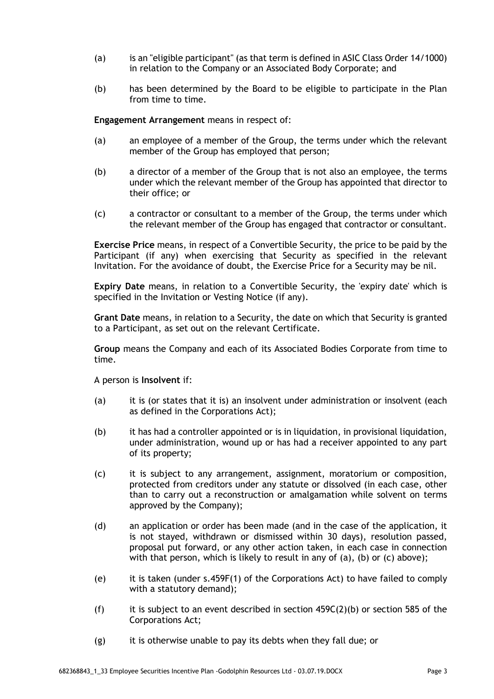- (a) is an "eligible participant" (as that term is defined in ASIC Class Order 14/1000) in relation to the Company or an Associated Body Corporate; and
- (b) has been determined by the Board to be eligible to participate in the Plan from time to time.

**Engagement Arrangement** means in respect of:

- (a) an employee of a member of the Group, the terms under which the relevant member of the Group has employed that person;
- (b) a director of a member of the Group that is not also an employee, the terms under which the relevant member of the Group has appointed that director to their office; or
- (c) a contractor or consultant to a member of the Group, the terms under which the relevant member of the Group has engaged that contractor or consultant.

**Exercise Price** means, in respect of a Convertible Security, the price to be paid by the Participant (if any) when exercising that Security as specified in the relevant Invitation. For the avoidance of doubt, the Exercise Price for a Security may be nil.

**Expiry Date** means, in relation to a Convertible Security, the 'expiry date' which is specified in the Invitation or Vesting Notice (if any).

**Grant Date** means, in relation to a Security, the date on which that Security is granted to a Participant, as set out on the relevant Certificate.

**Group** means the Company and each of its Associated Bodies Corporate from time to time.

A person is **Insolvent** if:

- (a) it is (or states that it is) an insolvent under administration or insolvent (each as defined in the Corporations Act);
- (b) it has had a controller appointed or is in liquidation, in provisional liquidation, under administration, wound up or has had a receiver appointed to any part of its property;
- (c) it is subject to any arrangement, assignment, moratorium or composition, protected from creditors under any statute or dissolved (in each case, other than to carry out a reconstruction or amalgamation while solvent on terms approved by the Company);
- (d) an application or order has been made (and in the case of the application, it is not stayed, withdrawn or dismissed within 30 days), resolution passed, proposal put forward, or any other action taken, in each case in connection with that person, which is likely to result in any of (a), (b) or (c) above);
- (e) it is taken (under s.459F(1) of the Corporations Act) to have failed to comply with a statutory demand);
- (f) it is subject to an event described in section  $459C(2)(b)$  or section 585 of the Corporations Act;
- (g) it is otherwise unable to pay its debts when they fall due; or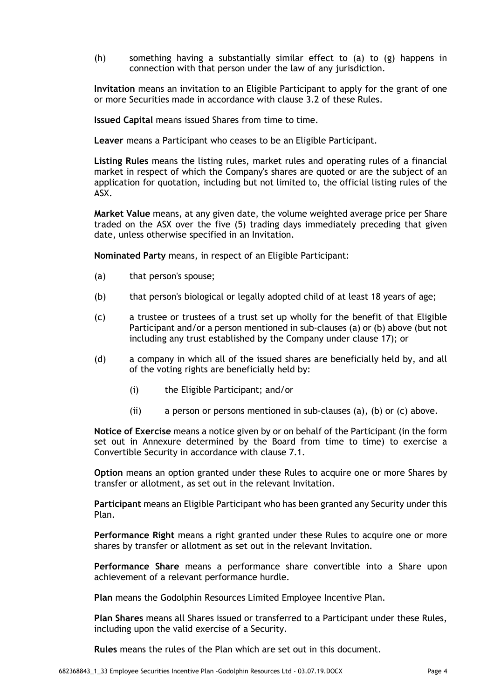(h) something having a substantially similar effect to (a) to (g) happens in connection with that person under the law of any jurisdiction.

**Invitation** means an invitation to an Eligible Participant to apply for the grant of one or more Securities made in accordance with clause 3.2 of these Rules.

**Issued Capital** means issued Shares from time to time.

**Leaver** means a Participant who ceases to be an Eligible Participant.

**Listing Rules** means the listing rules, market rules and operating rules of a financial market in respect of which the Company's shares are quoted or are the subject of an application for quotation, including but not limited to, the official listing rules of the ASX.

**Market Value** means, at any given date, the volume weighted average price per Share traded on the ASX over the five (5) trading days immediately preceding that given date, unless otherwise specified in an Invitation.

**Nominated Party** means, in respect of an Eligible Participant:

- (a) that person's spouse;
- (b) that person's biological or legally adopted child of at least 18 years of age;
- (c) a trustee or trustees of a trust set up wholly for the benefit of that Eligible Participant and/or a person mentioned in sub-clauses (a) or (b) above (but not including any trust established by the Company under clause 17); or
- (d) a company in which all of the issued shares are beneficially held by, and all of the voting rights are beneficially held by:
	- (i) the Eligible Participant; and/or
	- (ii) a person or persons mentioned in sub-clauses (a), (b) or (c) above.

**Notice of Exercise** means a notice given by or on behalf of the Participant (in the form set out in Annexure determined by the Board from time to time) to exercise a Convertible Security in accordance with clause 7.1.

**Option** means an option granted under these Rules to acquire one or more Shares by transfer or allotment, as set out in the relevant Invitation.

**Participant** means an Eligible Participant who has been granted any Security under this Plan.

**Performance Right** means a right granted under these Rules to acquire one or more shares by transfer or allotment as set out in the relevant Invitation.

**Performance Share** means a performance share convertible into a Share upon achievement of a relevant performance hurdle.

**Plan** means the Godolphin Resources Limited Employee Incentive Plan.

**Plan Shares** means all Shares issued or transferred to a Participant under these Rules, including upon the valid exercise of a Security.

**Rules** means the rules of the Plan which are set out in this document.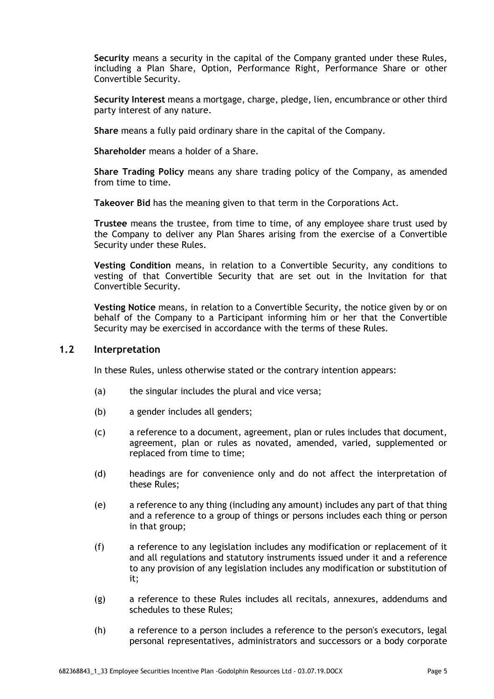**Security** means a security in the capital of the Company granted under these Rules, including a Plan Share, Option, Performance Right, Performance Share or other Convertible Security.

**Security Interest** means a mortgage, charge, pledge, lien, encumbrance or other third party interest of any nature.

**Share** means a fully paid ordinary share in the capital of the Company.

**Shareholder** means a holder of a Share.

**Share Trading Policy** means any share trading policy of the Company, as amended from time to time.

**Takeover Bid** has the meaning given to that term in the Corporations Act.

**Trustee** means the trustee, from time to time, of any employee share trust used by the Company to deliver any Plan Shares arising from the exercise of a Convertible Security under these Rules.

**Vesting Condition** means, in relation to a Convertible Security, any conditions to vesting of that Convertible Security that are set out in the Invitation for that Convertible Security.

**Vesting Notice** means, in relation to a Convertible Security, the notice given by or on behalf of the Company to a Participant informing him or her that the Convertible Security may be exercised in accordance with the terms of these Rules.

### **1.2 Interpretation**

In these Rules, unless otherwise stated or the contrary intention appears:

- (a) the singular includes the plural and vice versa;
- (b) a gender includes all genders;
- (c) a reference to a document, agreement, plan or rules includes that document, agreement, plan or rules as novated, amended, varied, supplemented or replaced from time to time;
- (d) headings are for convenience only and do not affect the interpretation of these Rules;
- (e) a reference to any thing (including any amount) includes any part of that thing and a reference to a group of things or persons includes each thing or person in that group;
- (f) a reference to any legislation includes any modification or replacement of it and all regulations and statutory instruments issued under it and a reference to any provision of any legislation includes any modification or substitution of it;
- (g) a reference to these Rules includes all recitals, annexures, addendums and schedules to these Rules;
- (h) a reference to a person includes a reference to the person's executors, legal personal representatives, administrators and successors or a body corporate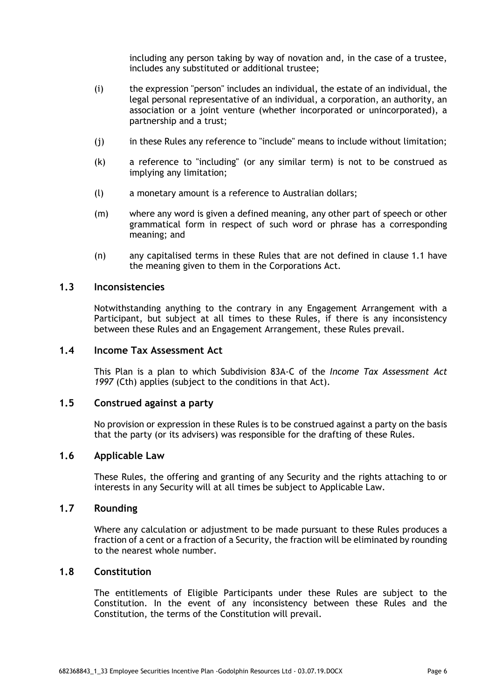including any person taking by way of novation and, in the case of a trustee, includes any substituted or additional trustee;

- (i) the expression "person" includes an individual, the estate of an individual, the legal personal representative of an individual, a corporation, an authority, an association or a joint venture (whether incorporated or unincorporated), a partnership and a trust;
- (j) in these Rules any reference to "include" means to include without limitation;
- (k) a reference to "including" (or any similar term) is not to be construed as implying any limitation;
- (l) a monetary amount is a reference to Australian dollars;
- (m) where any word is given a defined meaning, any other part of speech or other grammatical form in respect of such word or phrase has a corresponding meaning; and
- (n) any capitalised terms in these Rules that are not defined in clause 1.1 have the meaning given to them in the Corporations Act.

### **1.3 Inconsistencies**

Notwithstanding anything to the contrary in any Engagement Arrangement with a Participant, but subject at all times to these Rules, if there is any inconsistency between these Rules and an Engagement Arrangement, these Rules prevail.

### **1.4 Income Tax Assessment Act**

This Plan is a plan to which Subdivision 83A-C of the *Income Tax Assessment Act 1997* (Cth) applies (subject to the conditions in that Act).

### **1.5 Construed against a party**

No provision or expression in these Rules is to be construed against a party on the basis that the party (or its advisers) was responsible for the drafting of these Rules.

### **1.6 Applicable Law**

These Rules, the offering and granting of any Security and the rights attaching to or interests in any Security will at all times be subject to Applicable Law.

### **1.7 Rounding**

Where any calculation or adjustment to be made pursuant to these Rules produces a fraction of a cent or a fraction of a Security, the fraction will be eliminated by rounding to the nearest whole number.

#### **1.8 Constitution**

The entitlements of Eligible Participants under these Rules are subject to the Constitution. In the event of any inconsistency between these Rules and the Constitution, the terms of the Constitution will prevail.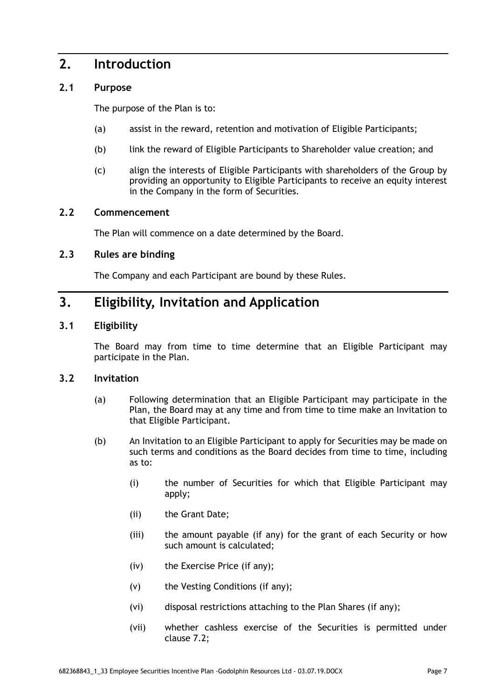### **2. Introduction**

### **2.1 Purpose**

The purpose of the Plan is to:

- (a) assist in the reward, retention and motivation of Eligible Participants;
- (b) link the reward of Eligible Participants to Shareholder value creation; and
- (c) align the interests of Eligible Participants with shareholders of the Group by providing an opportunity to Eligible Participants to receive an equity interest in the Company in the form of Securities.

### **2.2 Commencement**

The Plan will commence on a date determined by the Board.

### **2.3 Rules are binding**

The Company and each Participant are bound by these Rules.

# **3. Eligibility, Invitation and Application**

### **3.1 Eligibility**

The Board may from time to time determine that an Eligible Participant may participate in the Plan.

### **3.2 Invitation**

- (a) Following determination that an Eligible Participant may participate in the Plan, the Board may at any time and from time to time make an Invitation to that Eligible Participant.
- (b) An Invitation to an Eligible Participant to apply for Securities may be made on such terms and conditions as the Board decides from time to time, including as to:
	- (i) the number of Securities for which that Eligible Participant may apply;
	- (ii) the Grant Date;
	- (iii) the amount payable (if any) for the grant of each Security or how such amount is calculated;
	- (iv) the Exercise Price (if any);
	- (v) the Vesting Conditions (if any);
	- (vi) disposal restrictions attaching to the Plan Shares (if any);
	- (vii) whether cashless exercise of the Securities is permitted under clause 7.2;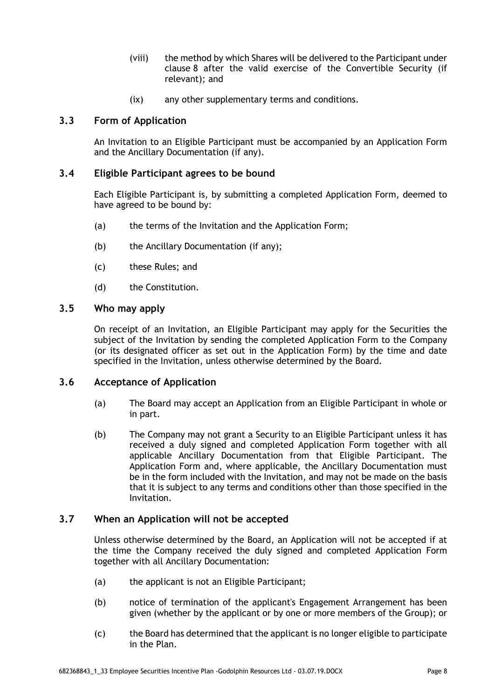- (viii) the method by which Shares will be delivered to the Participant under clause 8 after the valid exercise of the Convertible Security (if relevant); and
- (ix) any other supplementary terms and conditions.

### **3.3 Form of Application**

An Invitation to an Eligible Participant must be accompanied by an Application Form and the Ancillary Documentation (if any).

### **3.4 Eligible Participant agrees to be bound**

Each Eligible Participant is, by submitting a completed Application Form, deemed to have agreed to be bound by:

- (a) the terms of the Invitation and the Application Form;
- (b) the Ancillary Documentation (if any);
- (c) these Rules; and
- (d) the Constitution.

### **3.5 Who may apply**

On receipt of an Invitation, an Eligible Participant may apply for the Securities the subject of the Invitation by sending the completed Application Form to the Company (or its designated officer as set out in the Application Form) by the time and date specified in the Invitation, unless otherwise determined by the Board.

### **3.6 Acceptance of Application**

- (a) The Board may accept an Application from an Eligible Participant in whole or in part.
- (b) The Company may not grant a Security to an Eligible Participant unless it has received a duly signed and completed Application Form together with all applicable Ancillary Documentation from that Eligible Participant. The Application Form and, where applicable, the Ancillary Documentation must be in the form included with the Invitation, and may not be made on the basis that it is subject to any terms and conditions other than those specified in the Invitation.

### **3.7 When an Application will not be accepted**

Unless otherwise determined by the Board, an Application will not be accepted if at the time the Company received the duly signed and completed Application Form together with all Ancillary Documentation:

- (a) the applicant is not an Eligible Participant;
- (b) notice of termination of the applicant's Engagement Arrangement has been given (whether by the applicant or by one or more members of the Group); or
- (c) the Board has determined that the applicant is no longer eligible to participate in the Plan.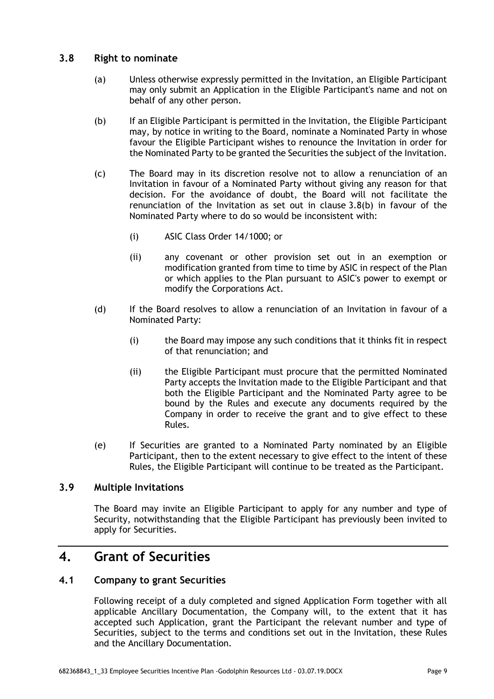### **3.8 Right to nominate**

- (a) Unless otherwise expressly permitted in the Invitation, an Eligible Participant may only submit an Application in the Eligible Participant's name and not on behalf of any other person.
- (b) If an Eligible Participant is permitted in the Invitation, the Eligible Participant may, by notice in writing to the Board, nominate a Nominated Party in whose favour the Eligible Participant wishes to renounce the Invitation in order for the Nominated Party to be granted the Securities the subject of the Invitation.
- (c) The Board may in its discretion resolve not to allow a renunciation of an Invitation in favour of a Nominated Party without giving any reason for that decision. For the avoidance of doubt, the Board will not facilitate the renunciation of the Invitation as set out in clause 3.8(b) in favour of the Nominated Party where to do so would be inconsistent with:
	- (i) ASIC Class Order 14/1000; or
	- (ii) any covenant or other provision set out in an exemption or modification granted from time to time by ASIC in respect of the Plan or which applies to the Plan pursuant to ASIC's power to exempt or modify the Corporations Act.
- (d) If the Board resolves to allow a renunciation of an Invitation in favour of a Nominated Party:
	- (i) the Board may impose any such conditions that it thinks fit in respect of that renunciation; and
	- (ii) the Eligible Participant must procure that the permitted Nominated Party accepts the Invitation made to the Eligible Participant and that both the Eligible Participant and the Nominated Party agree to be bound by the Rules and execute any documents required by the Company in order to receive the grant and to give effect to these Rules.
- (e) If Securities are granted to a Nominated Party nominated by an Eligible Participant, then to the extent necessary to give effect to the intent of these Rules, the Eligible Participant will continue to be treated as the Participant.

### **3.9 Multiple Invitations**

The Board may invite an Eligible Participant to apply for any number and type of Security, notwithstanding that the Eligible Participant has previously been invited to apply for Securities.

### **4. Grant of Securities**

### **4.1 Company to grant Securities**

Following receipt of a duly completed and signed Application Form together with all applicable Ancillary Documentation, the Company will, to the extent that it has accepted such Application, grant the Participant the relevant number and type of Securities, subject to the terms and conditions set out in the Invitation, these Rules and the Ancillary Documentation.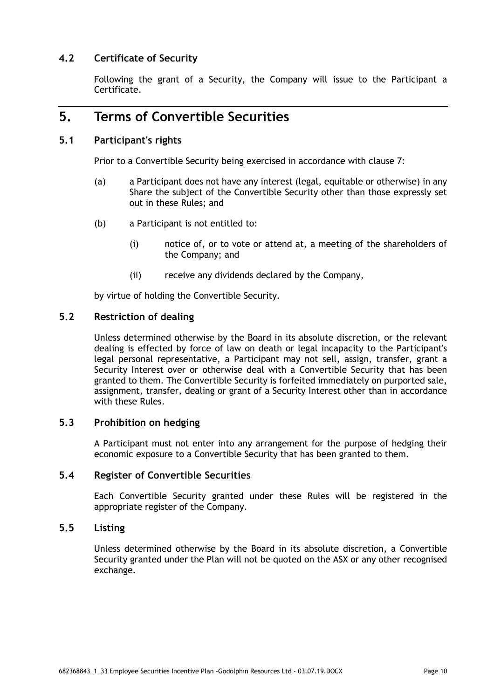### **4.2 Certificate of Security**

Following the grant of a Security, the Company will issue to the Participant a Certificate.

### **5. Terms of Convertible Securities**

### **5.1 Participant's rights**

Prior to a Convertible Security being exercised in accordance with clause 7:

- (a) a Participant does not have any interest (legal, equitable or otherwise) in any Share the subject of the Convertible Security other than those expressly set out in these Rules; and
- (b) a Participant is not entitled to:
	- (i) notice of, or to vote or attend at, a meeting of the shareholders of the Company; and
	- (ii) receive any dividends declared by the Company,

by virtue of holding the Convertible Security.

### **5.2 Restriction of dealing**

Unless determined otherwise by the Board in its absolute discretion, or the relevant dealing is effected by force of law on death or legal incapacity to the Participant's legal personal representative, a Participant may not sell, assign, transfer, grant a Security Interest over or otherwise deal with a Convertible Security that has been granted to them. The Convertible Security is forfeited immediately on purported sale, assignment, transfer, dealing or grant of a Security Interest other than in accordance with these Rules.

### **5.3 Prohibition on hedging**

A Participant must not enter into any arrangement for the purpose of hedging their economic exposure to a Convertible Security that has been granted to them.

### **5.4 Register of Convertible Securities**

Each Convertible Security granted under these Rules will be registered in the appropriate register of the Company.

### **5.5 Listing**

Unless determined otherwise by the Board in its absolute discretion, a Convertible Security granted under the Plan will not be quoted on the ASX or any other recognised exchange.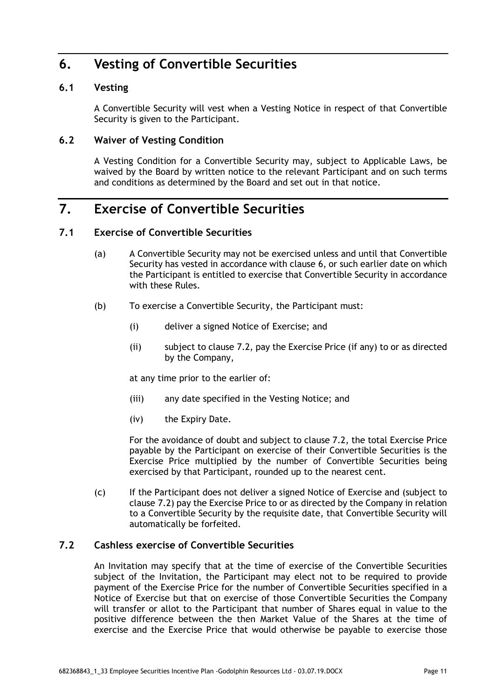# **6. Vesting of Convertible Securities**

### **6.1 Vesting**

A Convertible Security will vest when a Vesting Notice in respect of that Convertible Security is given to the Participant.

### **6.2 Waiver of Vesting Condition**

A Vesting Condition for a Convertible Security may, subject to Applicable Laws, be waived by the Board by written notice to the relevant Participant and on such terms and conditions as determined by the Board and set out in that notice.

# **7. Exercise of Convertible Securities**

### **7.1 Exercise of Convertible Securities**

- (a) A Convertible Security may not be exercised unless and until that Convertible Security has vested in accordance with clause 6, or such earlier date on which the Participant is entitled to exercise that Convertible Security in accordance with these Rules.
- (b) To exercise a Convertible Security, the Participant must:
	- (i) deliver a signed Notice of Exercise; and
	- (ii) subject to clause 7.2, pay the Exercise Price (if any) to or as directed by the Company,

at any time prior to the earlier of:

- (iii) any date specified in the Vesting Notice; and
- (iv) the Expiry Date.

For the avoidance of doubt and subject to clause 7.2, the total Exercise Price payable by the Participant on exercise of their Convertible Securities is the Exercise Price multiplied by the number of Convertible Securities being exercised by that Participant, rounded up to the nearest cent.

(c) If the Participant does not deliver a signed Notice of Exercise and (subject to clause 7.2) pay the Exercise Price to or as directed by the Company in relation to a Convertible Security by the requisite date, that Convertible Security will automatically be forfeited.

### **7.2 Cashless exercise of Convertible Securities**

An Invitation may specify that at the time of exercise of the Convertible Securities subject of the Invitation, the Participant may elect not to be required to provide payment of the Exercise Price for the number of Convertible Securities specified in a Notice of Exercise but that on exercise of those Convertible Securities the Company will transfer or allot to the Participant that number of Shares equal in value to the positive difference between the then Market Value of the Shares at the time of exercise and the Exercise Price that would otherwise be payable to exercise those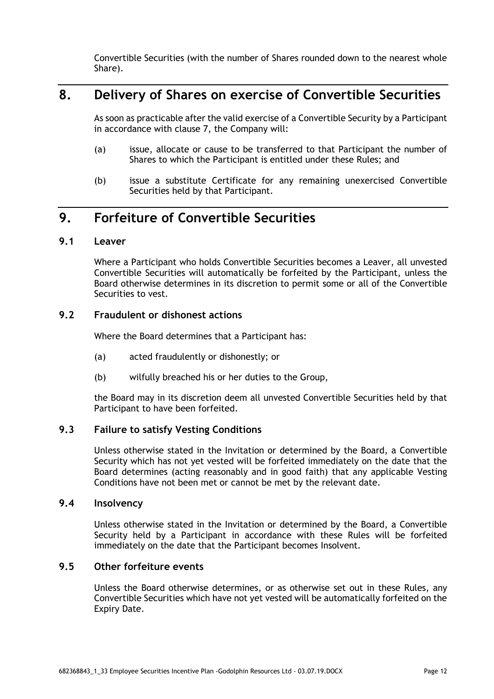Convertible Securities (with the number of Shares rounded down to the nearest whole Share).

### **8. Delivery of Shares on exercise of Convertible Securities**

As soon as practicable after the valid exercise of a Convertible Security by a Participant in accordance with clause 7, the Company will:

- (a) issue, allocate or cause to be transferred to that Participant the number of Shares to which the Participant is entitled under these Rules; and
- (b) issue a substitute Certificate for any remaining unexercised Convertible Securities held by that Participant.

# **9. Forfeiture of Convertible Securities**

### **9.1 Leaver**

Where a Participant who holds Convertible Securities becomes a Leaver, all unvested Convertible Securities will automatically be forfeited by the Participant, unless the Board otherwise determines in its discretion to permit some or all of the Convertible Securities to vest.

### **9.2 Fraudulent or dishonest actions**

Where the Board determines that a Participant has:

- (a) acted fraudulently or dishonestly; or
- (b) wilfully breached his or her duties to the Group,

the Board may in its discretion deem all unvested Convertible Securities held by that Participant to have been forfeited.

### **9.3 Failure to satisfy Vesting Conditions**

Unless otherwise stated in the Invitation or determined by the Board, a Convertible Security which has not yet vested will be forfeited immediately on the date that the Board determines (acting reasonably and in good faith) that any applicable Vesting Conditions have not been met or cannot be met by the relevant date.

#### **9.4 Insolvency**

Unless otherwise stated in the Invitation or determined by the Board, a Convertible Security held by a Participant in accordance with these Rules will be forfeited immediately on the date that the Participant becomes Insolvent.

### **9.5 Other forfeiture events**

Unless the Board otherwise determines, or as otherwise set out in these Rules, any Convertible Securities which have not yet vested will be automatically forfeited on the Expiry Date.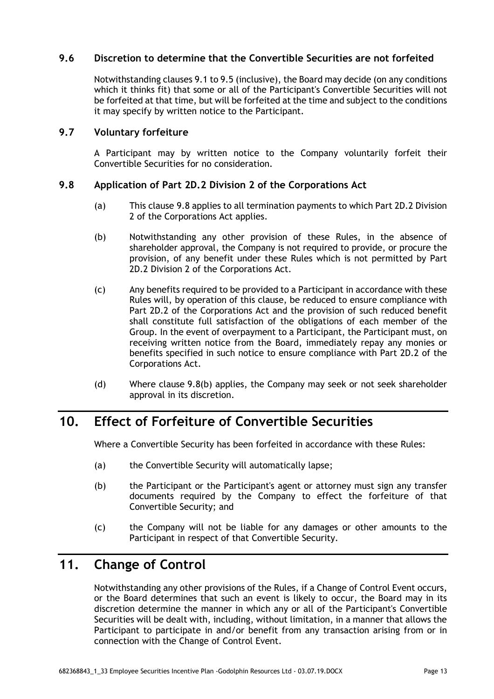### **9.6 Discretion to determine that the Convertible Securities are not forfeited**

Notwithstanding clauses 9.1 to 9.5 (inclusive), the Board may decide (on any conditions which it thinks fit) that some or all of the Participant's Convertible Securities will not be forfeited at that time, but will be forfeited at the time and subject to the conditions it may specify by written notice to the Participant.

### **9.7 Voluntary forfeiture**

A Participant may by written notice to the Company voluntarily forfeit their Convertible Securities for no consideration.

### **9.8 Application of Part 2D.2 Division 2 of the Corporations Act**

- (a) This clause 9.8 applies to all termination payments to which Part 2D.2 Division 2 of the Corporations Act applies.
- (b) Notwithstanding any other provision of these Rules, in the absence of shareholder approval, the Company is not required to provide, or procure the provision, of any benefit under these Rules which is not permitted by Part 2D.2 Division 2 of the Corporations Act.
- (c) Any benefits required to be provided to a Participant in accordance with these Rules will, by operation of this clause, be reduced to ensure compliance with Part 2D.2 of the Corporations Act and the provision of such reduced benefit shall constitute full satisfaction of the obligations of each member of the Group. In the event of overpayment to a Participant, the Participant must, on receiving written notice from the Board, immediately repay any monies or benefits specified in such notice to ensure compliance with Part 2D.2 of the Corporations Act.
- (d) Where clause 9.8(b) applies, the Company may seek or not seek shareholder approval in its discretion.

# **10. Effect of Forfeiture of Convertible Securities**

Where a Convertible Security has been forfeited in accordance with these Rules:

- (a) the Convertible Security will automatically lapse;
- (b) the Participant or the Participant's agent or attorney must sign any transfer documents required by the Company to effect the forfeiture of that Convertible Security; and
- (c) the Company will not be liable for any damages or other amounts to the Participant in respect of that Convertible Security.

# **11. Change of Control**

Notwithstanding any other provisions of the Rules, if a Change of Control Event occurs, or the Board determines that such an event is likely to occur, the Board may in its discretion determine the manner in which any or all of the Participant's Convertible Securities will be dealt with, including, without limitation, in a manner that allows the Participant to participate in and/or benefit from any transaction arising from or in connection with the Change of Control Event.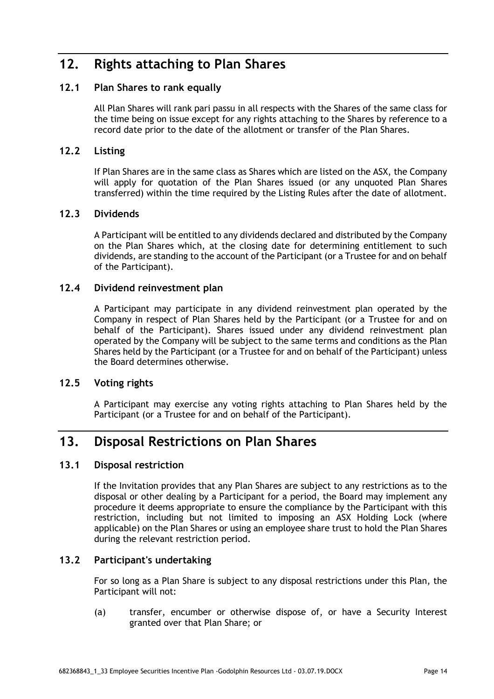# **12. Rights attaching to Plan Shares**

### **12.1 Plan Shares to rank equally**

All Plan Shares will rank pari passu in all respects with the Shares of the same class for the time being on issue except for any rights attaching to the Shares by reference to a record date prior to the date of the allotment or transfer of the Plan Shares.

### **12.2 Listing**

If Plan Shares are in the same class as Shares which are listed on the ASX, the Company will apply for quotation of the Plan Shares issued (or any unquoted Plan Shares transferred) within the time required by the Listing Rules after the date of allotment.

### **12.3 Dividends**

A Participant will be entitled to any dividends declared and distributed by the Company on the Plan Shares which, at the closing date for determining entitlement to such dividends, are standing to the account of the Participant (or a Trustee for and on behalf of the Participant).

### **12.4 Dividend reinvestment plan**

A Participant may participate in any dividend reinvestment plan operated by the Company in respect of Plan Shares held by the Participant (or a Trustee for and on behalf of the Participant). Shares issued under any dividend reinvestment plan operated by the Company will be subject to the same terms and conditions as the Plan Shares held by the Participant (or a Trustee for and on behalf of the Participant) unless the Board determines otherwise.

### **12.5 Voting rights**

A Participant may exercise any voting rights attaching to Plan Shares held by the Participant (or a Trustee for and on behalf of the Participant).

### **13. Disposal Restrictions on Plan Shares**

### **13.1 Disposal restriction**

If the Invitation provides that any Plan Shares are subject to any restrictions as to the disposal or other dealing by a Participant for a period, the Board may implement any procedure it deems appropriate to ensure the compliance by the Participant with this restriction, including but not limited to imposing an ASX Holding Lock (where applicable) on the Plan Shares or using an employee share trust to hold the Plan Shares during the relevant restriction period.

### **13.2 Participant's undertaking**

For so long as a Plan Share is subject to any disposal restrictions under this Plan, the Participant will not:

(a) transfer, encumber or otherwise dispose of, or have a Security Interest granted over that Plan Share; or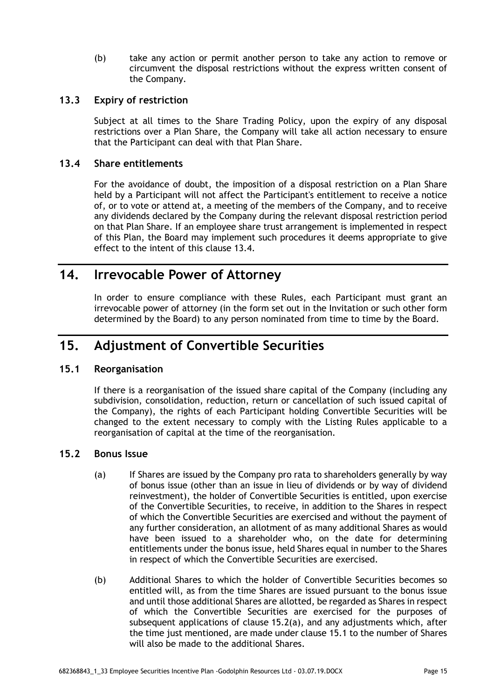(b) take any action or permit another person to take any action to remove or circumvent the disposal restrictions without the express written consent of the Company.

### **13.3 Expiry of restriction**

Subject at all times to the Share Trading Policy, upon the expiry of any disposal restrictions over a Plan Share, the Company will take all action necessary to ensure that the Participant can deal with that Plan Share.

### **13.4 Share entitlements**

For the avoidance of doubt, the imposition of a disposal restriction on a Plan Share held by a Participant will not affect the Participant's entitlement to receive a notice of, or to vote or attend at, a meeting of the members of the Company, and to receive any dividends declared by the Company during the relevant disposal restriction period on that Plan Share. If an employee share trust arrangement is implemented in respect of this Plan, the Board may implement such procedures it deems appropriate to give effect to the intent of this clause 13.4.

### **14. Irrevocable Power of Attorney**

In order to ensure compliance with these Rules, each Participant must grant an irrevocable power of attorney (in the form set out in the Invitation or such other form determined by the Board) to any person nominated from time to time by the Board.

## **15. Adjustment of Convertible Securities**

### **15.1 Reorganisation**

If there is a reorganisation of the issued share capital of the Company (including any subdivision, consolidation, reduction, return or cancellation of such issued capital of the Company), the rights of each Participant holding Convertible Securities will be changed to the extent necessary to comply with the Listing Rules applicable to a reorganisation of capital at the time of the reorganisation.

### **15.2 Bonus Issue**

- (a) If Shares are issued by the Company pro rata to shareholders generally by way of bonus issue (other than an issue in lieu of dividends or by way of dividend reinvestment), the holder of Convertible Securities is entitled, upon exercise of the Convertible Securities, to receive, in addition to the Shares in respect of which the Convertible Securities are exercised and without the payment of any further consideration, an allotment of as many additional Shares as would have been issued to a shareholder who, on the date for determining entitlements under the bonus issue, held Shares equal in number to the Shares in respect of which the Convertible Securities are exercised.
- (b) Additional Shares to which the holder of Convertible Securities becomes so entitled will, as from the time Shares are issued pursuant to the bonus issue and until those additional Shares are allotted, be regarded as Shares in respect of which the Convertible Securities are exercised for the purposes of subsequent applications of clause 15.2(a), and any adjustments which, after the time just mentioned, are made under clause 15.1 to the number of Shares will also be made to the additional Shares.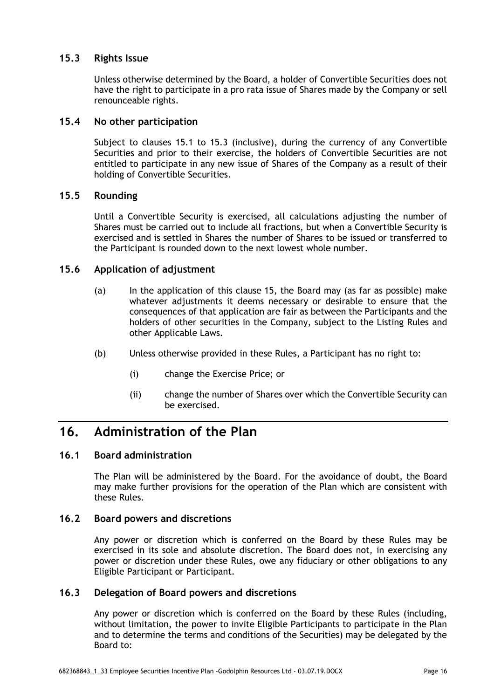### **15.3 Rights Issue**

Unless otherwise determined by the Board, a holder of Convertible Securities does not have the right to participate in a pro rata issue of Shares made by the Company or sell renounceable rights.

### **15.4 No other participation**

Subject to clauses 15.1 to 15.3 (inclusive), during the currency of any Convertible Securities and prior to their exercise, the holders of Convertible Securities are not entitled to participate in any new issue of Shares of the Company as a result of their holding of Convertible Securities.

### **15.5 Rounding**

Until a Convertible Security is exercised, all calculations adjusting the number of Shares must be carried out to include all fractions, but when a Convertible Security is exercised and is settled in Shares the number of Shares to be issued or transferred to the Participant is rounded down to the next lowest whole number.

### **15.6 Application of adjustment**

- (a) In the application of this clause 15, the Board may (as far as possible) make whatever adjustments it deems necessary or desirable to ensure that the consequences of that application are fair as between the Participants and the holders of other securities in the Company, subject to the Listing Rules and other Applicable Laws.
- (b) Unless otherwise provided in these Rules, a Participant has no right to:
	- (i) change the Exercise Price; or
	- (ii) change the number of Shares over which the Convertible Security can be exercised.

# **16. Administration of the Plan**

### **16.1 Board administration**

The Plan will be administered by the Board. For the avoidance of doubt, the Board may make further provisions for the operation of the Plan which are consistent with these Rules.

### **16.2 Board powers and discretions**

Any power or discretion which is conferred on the Board by these Rules may be exercised in its sole and absolute discretion. The Board does not, in exercising any power or discretion under these Rules, owe any fiduciary or other obligations to any Eligible Participant or Participant.

### **16.3 Delegation of Board powers and discretions**

Any power or discretion which is conferred on the Board by these Rules (including, without limitation, the power to invite Eligible Participants to participate in the Plan and to determine the terms and conditions of the Securities) may be delegated by the Board to: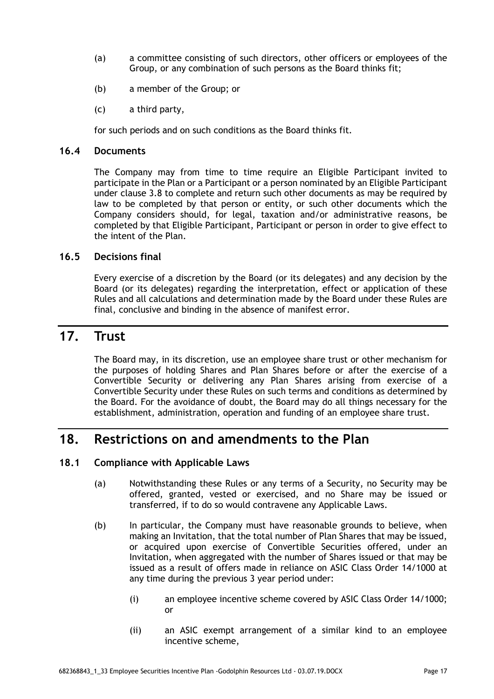- (a) a committee consisting of such directors, other officers or employees of the Group, or any combination of such persons as the Board thinks fit;
- (b) a member of the Group; or
- (c) a third party,

for such periods and on such conditions as the Board thinks fit.

#### **16.4 Documents**

The Company may from time to time require an Eligible Participant invited to participate in the Plan or a Participant or a person nominated by an Eligible Participant under clause 3.8 to complete and return such other documents as may be required by law to be completed by that person or entity, or such other documents which the Company considers should, for legal, taxation and/or administrative reasons, be completed by that Eligible Participant, Participant or person in order to give effect to the intent of the Plan.

### **16.5 Decisions final**

Every exercise of a discretion by the Board (or its delegates) and any decision by the Board (or its delegates) regarding the interpretation, effect or application of these Rules and all calculations and determination made by the Board under these Rules are final, conclusive and binding in the absence of manifest error.

### **17. Trust**

The Board may, in its discretion, use an employee share trust or other mechanism for the purposes of holding Shares and Plan Shares before or after the exercise of a Convertible Security or delivering any Plan Shares arising from exercise of a Convertible Security under these Rules on such terms and conditions as determined by the Board. For the avoidance of doubt, the Board may do all things necessary for the establishment, administration, operation and funding of an employee share trust.

# **18. Restrictions on and amendments to the Plan**

### **18.1 Compliance with Applicable Laws**

- (a) Notwithstanding these Rules or any terms of a Security, no Security may be offered, granted, vested or exercised, and no Share may be issued or transferred, if to do so would contravene any Applicable Laws.
- (b) In particular, the Company must have reasonable grounds to believe, when making an Invitation, that the total number of Plan Shares that may be issued, or acquired upon exercise of Convertible Securities offered, under an Invitation, when aggregated with the number of Shares issued or that may be issued as a result of offers made in reliance on ASIC Class Order 14/1000 at any time during the previous 3 year period under:
	- (i) an employee incentive scheme covered by ASIC Class Order 14/1000; or
	- (ii) an ASIC exempt arrangement of a similar kind to an employee incentive scheme,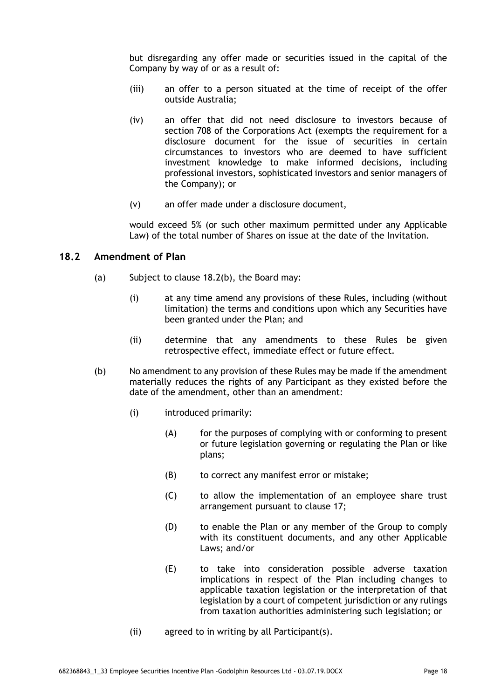but disregarding any offer made or securities issued in the capital of the Company by way of or as a result of:

- (iii) an offer to a person situated at the time of receipt of the offer outside Australia;
- (iv) an offer that did not need disclosure to investors because of section 708 of the Corporations Act (exempts the requirement for a disclosure document for the issue of securities in certain circumstances to investors who are deemed to have sufficient investment knowledge to make informed decisions, including professional investors, sophisticated investors and senior managers of the Company); or
- (v) an offer made under a disclosure document,

would exceed 5% (or such other maximum permitted under any Applicable Law) of the total number of Shares on issue at the date of the Invitation.

### **18.2 Amendment of Plan**

- (a) Subject to clause 18.2(b), the Board may:
	- (i) at any time amend any provisions of these Rules, including (without limitation) the terms and conditions upon which any Securities have been granted under the Plan; and
	- (ii) determine that any amendments to these Rules be given retrospective effect, immediate effect or future effect.
- (b) No amendment to any provision of these Rules may be made if the amendment materially reduces the rights of any Participant as they existed before the date of the amendment, other than an amendment:
	- (i) introduced primarily:
		- (A) for the purposes of complying with or conforming to present or future legislation governing or regulating the Plan or like plans;
		- (B) to correct any manifest error or mistake;
		- (C) to allow the implementation of an employee share trust arrangement pursuant to clause 17;
		- (D) to enable the Plan or any member of the Group to comply with its constituent documents, and any other Applicable Laws; and/or
		- (E) to take into consideration possible adverse taxation implications in respect of the Plan including changes to applicable taxation legislation or the interpretation of that legislation by a court of competent jurisdiction or any rulings from taxation authorities administering such legislation; or
	- (ii) agreed to in writing by all Participant(s).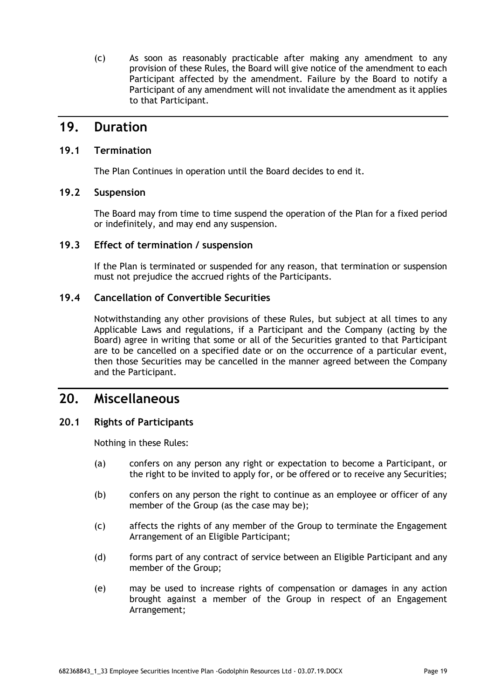(c) As soon as reasonably practicable after making any amendment to any provision of these Rules, the Board will give notice of the amendment to each Participant affected by the amendment. Failure by the Board to notify a Participant of any amendment will not invalidate the amendment as it applies to that Participant.

### **19. Duration**

### **19.1 Termination**

The Plan Continues in operation until the Board decides to end it.

### **19.2 Suspension**

The Board may from time to time suspend the operation of the Plan for a fixed period or indefinitely, and may end any suspension.

### **19.3 Effect of termination / suspension**

If the Plan is terminated or suspended for any reason, that termination or suspension must not prejudice the accrued rights of the Participants.

### **19.4 Cancellation of Convertible Securities**

Notwithstanding any other provisions of these Rules, but subject at all times to any Applicable Laws and regulations, if a Participant and the Company (acting by the Board) agree in writing that some or all of the Securities granted to that Participant are to be cancelled on a specified date or on the occurrence of a particular event, then those Securities may be cancelled in the manner agreed between the Company and the Participant.

# **20. Miscellaneous**

### **20.1 Rights of Participants**

Nothing in these Rules:

- (a) confers on any person any right or expectation to become a Participant, or the right to be invited to apply for, or be offered or to receive any Securities;
- (b) confers on any person the right to continue as an employee or officer of any member of the Group (as the case may be);
- (c) affects the rights of any member of the Group to terminate the Engagement Arrangement of an Eligible Participant;
- (d) forms part of any contract of service between an Eligible Participant and any member of the Group;
- (e) may be used to increase rights of compensation or damages in any action brought against a member of the Group in respect of an Engagement Arrangement;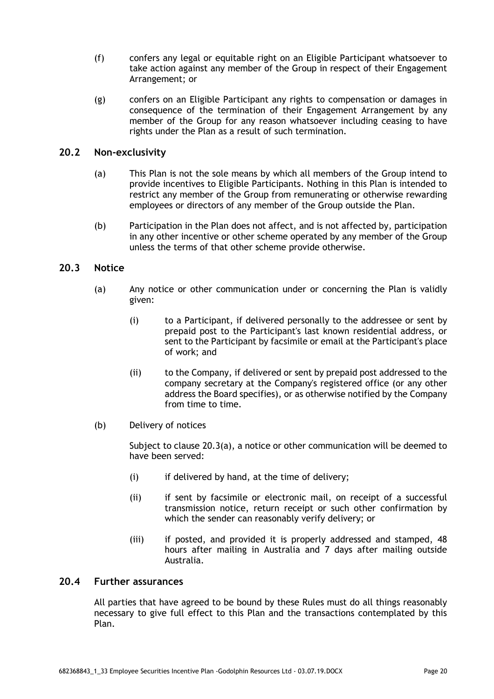- (f) confers any legal or equitable right on an Eligible Participant whatsoever to take action against any member of the Group in respect of their Engagement Arrangement; or
- (g) confers on an Eligible Participant any rights to compensation or damages in consequence of the termination of their Engagement Arrangement by any member of the Group for any reason whatsoever including ceasing to have rights under the Plan as a result of such termination.

### **20.2 Non-exclusivity**

- (a) This Plan is not the sole means by which all members of the Group intend to provide incentives to Eligible Participants. Nothing in this Plan is intended to restrict any member of the Group from remunerating or otherwise rewarding employees or directors of any member of the Group outside the Plan.
- (b) Participation in the Plan does not affect, and is not affected by, participation in any other incentive or other scheme operated by any member of the Group unless the terms of that other scheme provide otherwise.

### **20.3 Notice**

- (a) Any notice or other communication under or concerning the Plan is validly given:
	- (i) to a Participant, if delivered personally to the addressee or sent by prepaid post to the Participant's last known residential address, or sent to the Participant by facsimile or email at the Participant's place of work; and
	- (ii) to the Company, if delivered or sent by prepaid post addressed to the company secretary at the Company's registered office (or any other address the Board specifies), or as otherwise notified by the Company from time to time.
- (b) Delivery of notices

Subject to clause 20.3(a), a notice or other communication will be deemed to have been served:

- (i) if delivered by hand, at the time of delivery;
- (ii) if sent by facsimile or electronic mail, on receipt of a successful transmission notice, return receipt or such other confirmation by which the sender can reasonably verify delivery; or
- (iii) if posted, and provided it is properly addressed and stamped, 48 hours after mailing in Australia and 7 days after mailing outside Australia.

### **20.4 Further assurances**

All parties that have agreed to be bound by these Rules must do all things reasonably necessary to give full effect to this Plan and the transactions contemplated by this Plan.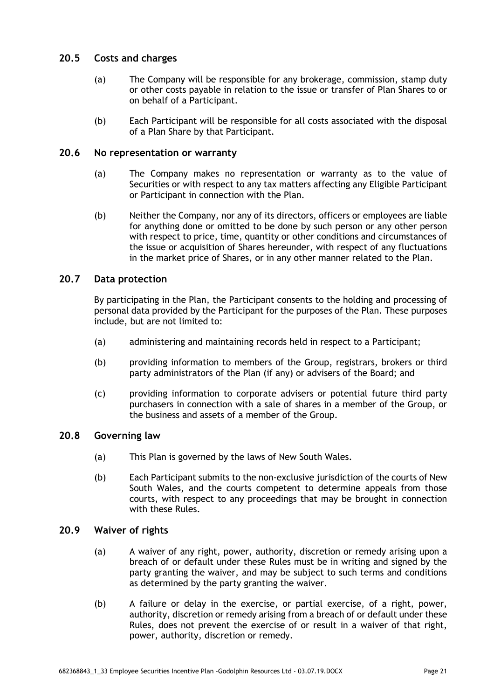### **20.5 Costs and charges**

- (a) The Company will be responsible for any brokerage, commission, stamp duty or other costs payable in relation to the issue or transfer of Plan Shares to or on behalf of a Participant.
- (b) Each Participant will be responsible for all costs associated with the disposal of a Plan Share by that Participant.

### **20.6 No representation or warranty**

- (a) The Company makes no representation or warranty as to the value of Securities or with respect to any tax matters affecting any Eligible Participant or Participant in connection with the Plan.
- (b) Neither the Company, nor any of its directors, officers or employees are liable for anything done or omitted to be done by such person or any other person with respect to price, time, quantity or other conditions and circumstances of the issue or acquisition of Shares hereunder, with respect of any fluctuations in the market price of Shares, or in any other manner related to the Plan.

### **20.7 Data protection**

By participating in the Plan, the Participant consents to the holding and processing of personal data provided by the Participant for the purposes of the Plan. These purposes include, but are not limited to:

- (a) administering and maintaining records held in respect to a Participant;
- (b) providing information to members of the Group, registrars, brokers or third party administrators of the Plan (if any) or advisers of the Board; and
- (c) providing information to corporate advisers or potential future third party purchasers in connection with a sale of shares in a member of the Group, or the business and assets of a member of the Group.

### **20.8 Governing law**

- (a) This Plan is governed by the laws of New South Wales.
- (b) Each Participant submits to the non-exclusive jurisdiction of the courts of New South Wales, and the courts competent to determine appeals from those courts, with respect to any proceedings that may be brought in connection with these Rules.

### **20.9 Waiver of rights**

- (a) A waiver of any right, power, authority, discretion or remedy arising upon a breach of or default under these Rules must be in writing and signed by the party granting the waiver, and may be subject to such terms and conditions as determined by the party granting the waiver.
- (b) A failure or delay in the exercise, or partial exercise, of a right, power, authority, discretion or remedy arising from a breach of or default under these Rules, does not prevent the exercise of or result in a waiver of that right, power, authority, discretion or remedy.